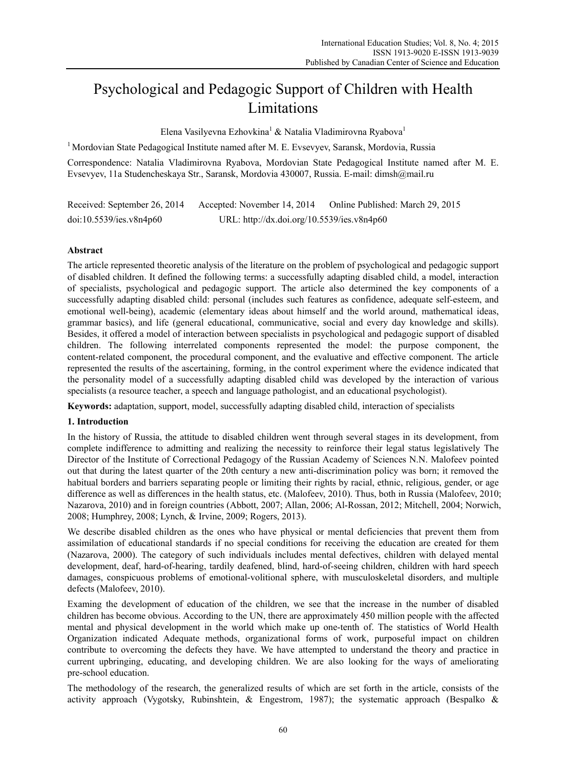# Psychological and Pedagogic Support of Children with Health Limitations

Elena Vasilyevna Ezhovkina<sup>1</sup> & Natalia Vladimirovna Ryabova<sup>1</sup>

 $1$  Mordovian State Pedagogical Institute named after M. E. Evseyyev, Saransk, Mordovia, Russia

Correspondence: Natalia Vladimirovna Ryabova, Mordovian State Pedagogical Institute named after M. E. Evsevyev, 11a Studencheskaya Str., Saransk, Mordovia 430007, Russia. E-mail: dimsh@mail.ru

Received: September 26, 2014 Accepted: November 14, 2014 Online Published: March 29, 2015 doi:10.5539/ies.v8n4p60 URL: http://dx.doi.org/10.5539/ies.v8n4p60

# **Abstract**

The article represented theoretic analysis of the literature on the problem of psychological and pedagogic support of disabled children. It defined the following terms: a successfully adapting disabled child, a model, interaction of specialists, psychological and pedagogic support. The article also determined the key components of a successfully adapting disabled child: personal (includes such features as confidence, adequate self-esteem, and emotional well-being), academic (elementary ideas about himself and the world around, mathematical ideas, grammar basics), and life (general educational, communicative, social and every day knowledge and skills). Besides, it offered a model of interaction between specialists in psychological and pedagogic support of disabled children. The following interrelated components represented the model: the purpose component, the content-related component, the procedural component, and the evaluative and effective component. The article represented the results of the ascertaining, forming, in the control experiment where the evidence indicated that the personality model of a successfully adapting disabled child was developed by the interaction of various specialists (a resource teacher, a speech and language pathologist, and an educational psychologist).

**Keywords:** adaptation, support, model, successfully adapting disabled child, interaction of specialists

# **1. Introduction**

In the history of Russia, the attitude to disabled children went through several stages in its development, from complete indifference to admitting and realizing the necessity to reinforce their legal status legislatively The Director of the Institute of Correctional Pedagogy of the Russian Academy of Sciences N.N. Malofeev pointed out that during the latest quarter of the 20th century a new anti-discrimination policy was born; it removed the habitual borders and barriers separating people or limiting their rights by racial, ethnic, religious, gender, or age difference as well as differences in the health status, etc. (Malofeev, 2010). Thus, both in Russia (Malofeev, 2010; Nazarova, 2010) and in foreign countries (Abbott, 2007; Allan, 2006; Al-Rossan, 2012; Mitchell, 2004; Norwich, 2008; Humphrey, 2008; Lynch, & Irvine, 2009; Rogers, 2013).

We describe disabled children as the ones who have physical or mental deficiencies that prevent them from assimilation of educational standards if no special conditions for receiving the education are created for them (Nazarova, 2000). The category of such individuals includes mental defectives, children with delayed mental development, deaf, hard-of-hearing, tardily deafened, blind, hard-of-seeing children, children with hard speech damages, conspicuous problems of emotional-volitional sphere, with musculoskeletal disorders, and multiple defects (Malofeev, 2010).

Examing the development of education of the children, we see that the increase in the number of disabled children has become obvious. According to the UN, there are approximately 450 million people with the affected mental and physical development in the world which make up one-tenth of. The statistics of World Health Organization indicated Adequate methods, organizational forms of work, purposeful impact on children contribute to overcoming the defects they have. We have attempted to understand the theory and practice in current upbringing, educating, and developing children. We are also looking for the ways of ameliorating pre-school education.

The methodology of the research, the generalized results of which are set forth in the article, consists of the activity approach (Vygotsky, Rubinshtein, & Engestrom, 1987); the systematic approach (Bespalko &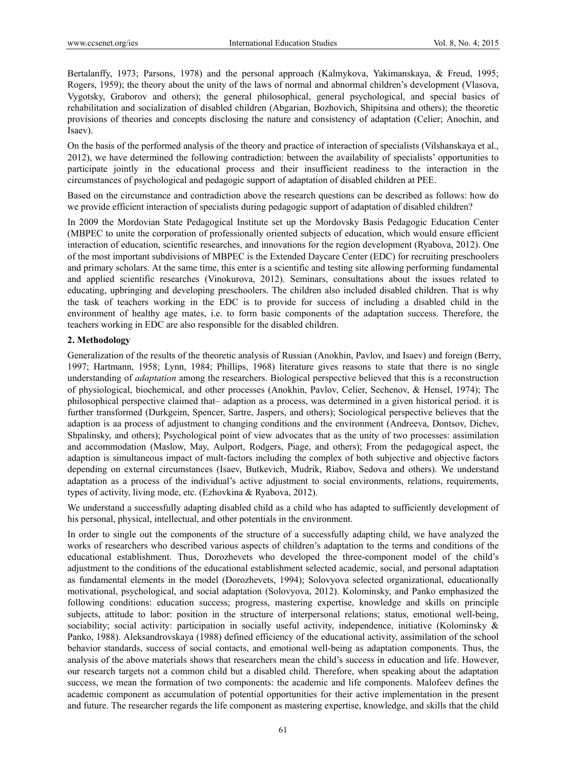Bertalanffy, 1973; Parsons, 1978) and the personal approach (Kalmykova, Yakimanskaya, & Freud, 1995; Rogers, 1959); the theory about the unity of the laws of normal and abnormal children's development (Vlasova, Vygotsky, Graborov and others); the general philosophical, general psychological, and special basics of rehabilitation and socialization of disabled children (Abgarian, Bozhovich, Shipitsina and others); the theoretic provisions of theories and concepts disclosing the nature and consistency of adaptation (Celier; Anochin, and Isaev).

On the basis of the performed analysis of the theory and practice of interaction of specialists (Vilshanskaya et al., 2012), we have determined the following contradiction: between the availability of specialists' opportunities to participate jointly in the educational process and their insufficient readiness to the interaction in the circumstances of psychological and pedagogic support of adaptation of disabled children at PEE.

Based on the circumstance and contradiction above the research questions can be described as follows: how do we provide efficient interaction of specialists during pedagogic support of adaptation of disabled children?

In 2009 the Mordovian State Pedagogical Institute set up the Mordovsky Basis Pedagogic Education Center (MBPEC to unite the corporation of professionally oriented subjects of education, which would ensure efficient interaction of education, scientific researches, and innovations for the region development (Ryabova, 2012). One of the most important subdivisions of MBPEC is the Extended Daycare Center (EDC) for recruiting preschoolers and primary scholars. At the same time, this enter is a scientific and testing site allowing performing fundamental and applied scientific researches (Vinokurova, 2012). Seminars, consultations about the issues related to educating, upbringing and developing preschoolers. The children also included disabled children. That is why the task of teachers working in the EDC is to provide for success of including a disabled child in the environment of healthy age mates, i.e. to form basic components of the adaptation success. Therefore, the teachers working in EDC are also responsible for the disabled children.

# **2. Methodology**

Generalization of the results of the theoretic analysis of Russian (Anokhin, Pavlov, and Isaev) and foreign (Berry, 1997; Hartmann, 1958; Lynn, 1984; Phillips, 1968) literature gives reasons to state that there is no single understanding of *adaptation* among the researchers. Biological perspective believed that this is a reconstruction of physiological, biochemical, and other processes (Anokhin, Pavlov, Celier, Sechenov, & Hensel, 1974); The philosophical perspective claimed that– adaption as a process, was determined in a given historical period. it is further transformed (Durkgeim, Spencer, Sartre, Jaspers, and others); Sociological perspective believes that the adaption is aa process of adjustment to changing conditions and the environment (Andreeva, Dontsov, Dichev, Shpalinsky, and others); Psychological point of view advocates that as the unity of two processes: assimilation and accommodation (Maslow, May, Aulport, Rodgers, Piage, and others); From the pedagogical aspect, the adaption is simultaneous impact of mult-factors including the complex of both subjective and objective factors depending on external circumstances (Isaev, Butkevich, Mudrik, Riabov, Sedova and others). We understand adaptation as a process of the individual's active adjustment to social environments, relations, requirements, types of activity, living mode, etc. (Ezhovkina & Ryabova, 2012).

We understand a successfully adapting disabled child as a child who has adapted to sufficiently development of his personal, physical, intellectual, and other potentials in the environment.

In order to single out the components of the structure of a successfully adapting child, we have analyzed the works of researchers who described various aspects of children's adaptation to the terms and conditions of the educational establishment. Thus, Dorozhevets who developed the three-component model of the child's adjustment to the conditions of the educational establishment selected academic, social, and personal adaptation as fundamental elements in the model (Dorozhevets, 1994); Solovyova selected organizational, educationally motivational, psychological, and social adaptation (Solovyova, 2012). Kolominsky, and Panko emphasized the following conditions: education success; progress, mastering expertise, knowledge and skills on principle subjects, attitude to labor: position in the structure of interpersonal relations; status, emotional well-being, sociability; social activity: participation in socially useful activity, independence, initiative (Kolominsky & Panko, 1988). Aleksandrovskaya (1988) defined efficiency of the educational activity, assimilation of the school behavior standards, success of social contacts, and emotional well-being as adaptation components. Thus, the analysis of the above materials shows that researchers mean the child's success in education and life. However, our research targets not a common child but a disabled child. Therefore, when speaking about the adaptation success, we mean the formation of two components: the academic and life components. Malofeev defines the academic component as accumulation of potential opportunities for their active implementation in the present and future. The researcher regards the life component as mastering expertise, knowledge, and skills that the child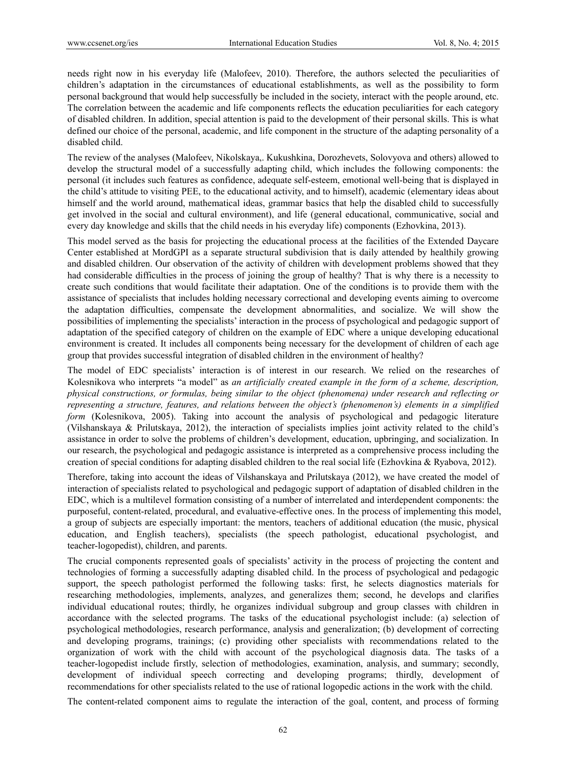needs right now in his everyday life (Malofeev, 2010). Therefore, the authors selected the peculiarities of children's adaptation in the circumstances of educational establishments, as well as the possibility to form personal background that would help successfully be included in the society, interact with the people around, etc. The correlation between the academic and life components reflects the education peculiarities for each category of disabled children. In addition, special attention is paid to the development of their personal skills. This is what defined our choice of the personal, academic, and life component in the structure of the adapting personality of a disabled child.

The review of the analyses (Malofeev, Nikolskaya,. Kukushkina, Dorozhevets, Solovyova and others) allowed to develop the structural model of a successfully adapting child, which includes the following components: the personal (it includes such features as confidence, adequate self-esteem, emotional well-being that is displayed in the child's attitude to visiting PEE, to the educational activity, and to himself), academic (elementary ideas about himself and the world around, mathematical ideas, grammar basics that help the disabled child to successfully get involved in the social and cultural environment), and life (general educational, communicative, social and every day knowledge and skills that the child needs in his everyday life) components (Ezhovkina, 2013).

This model served as the basis for projecting the educational process at the facilities of the Extended Daycare Center established at MordGPI as a separate structural subdivision that is daily attended by healthily growing and disabled children. Our observation of the activity of children with development problems showed that they had considerable difficulties in the process of joining the group of healthy? That is why there is a necessity to create such conditions that would facilitate their adaptation. One of the conditions is to provide them with the assistance of specialists that includes holding necessary correctional and developing events aiming to overcome the adaptation difficulties, compensate the development abnormalities, and socialize. We will show the possibilities of implementing the specialists' interaction in the process of psychological and pedagogic support of adaptation of the specified category of children on the example of EDC where a unique developing educational environment is created. It includes all components being necessary for the development of children of each age group that provides successful integration of disabled children in the environment of healthy?

The model of EDC specialists' interaction is of interest in our research. We relied on the researches of Kolesnikova who interprets "a model" as *an artificially created example in the form of a scheme, description, physical constructions, or formulas, being similar to the object (phenomena) under research and reflecting or representing a structure, features, and relations between the object's (phenomenon's) elements in a simplified form* (Kolesnikova, 2005). Taking into account the analysis of psychological and pedagogic literature (Vilshanskaya & Prilutskaya, 2012), the interaction of specialists implies joint activity related to the child's assistance in order to solve the problems of children's development, education, upbringing, and socialization. In our research, the psychological and pedagogic assistance is interpreted as a comprehensive process including the creation of special conditions for adapting disabled children to the real social life (Ezhovkina & Ryabova, 2012).

Therefore, taking into account the ideas of Vilshanskaya and Prilutskaya (2012), we have created the model of interaction of specialists related to psychological and pedagogic support of adaptation of disabled children in the EDC, which is a multilevel formation consisting of a number of interrelated and interdependent components: the purposeful, content-related, procedural, and evaluative-effective ones. In the process of implementing this model, a group of subjects are especially important: the mentors, teachers of additional education (the music, physical education, and English teachers), specialists (the speech pathologist, educational psychologist, and teacher-logopedist), children, and parents.

The crucial components represented goals of specialists' activity in the process of projecting the content and technologies of forming a successfully adapting disabled child. In the process of psychological and pedagogic support, the speech pathologist performed the following tasks: first, he selects diagnostics materials for researching methodologies, implements, analyzes, and generalizes them; second, he develops and clarifies individual educational routes; thirdly, he organizes individual subgroup and group classes with children in accordance with the selected programs. The tasks of the educational psychologist include: (a) selection of psychological methodologies, research performance, analysis and generalization; (b) development of correcting and developing programs, trainings; (c) providing other specialists with recommendations related to the organization of work with the child with account of the psychological diagnosis data. The tasks of a teacher-logopedist include firstly, selection of methodologies, examination, analysis, and summary; secondly, development of individual speech correcting and developing programs; thirdly, development of recommendations for other specialists related to the use of rational logopedic actions in the work with the child.

The content-related component aims to regulate the interaction of the goal, content, and process of forming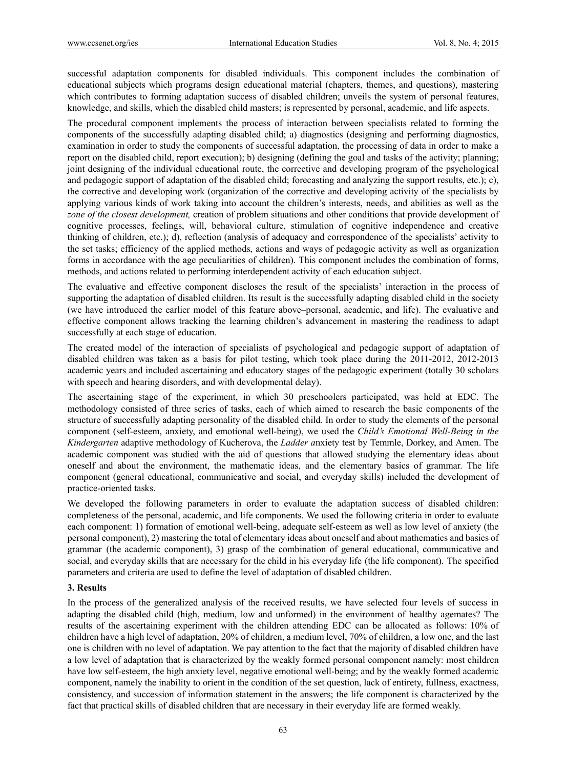successful adaptation components for disabled individuals. This component includes the combination of educational subjects which programs design educational material (chapters, themes, and questions), mastering which contributes to forming adaptation success of disabled children; unveils the system of personal features, knowledge, and skills, which the disabled child masters; is represented by personal, academic, and life aspects.

The procedural component implements the process of interaction between specialists related to forming the components of the successfully adapting disabled child; a) diagnostics (designing and performing diagnostics, examination in order to study the components of successful adaptation, the processing of data in order to make a report on the disabled child, report execution); b) designing (defining the goal and tasks of the activity; planning; joint designing of the individual educational route, the corrective and developing program of the psychological and pedagogic support of adaptation of the disabled child; forecasting and analyzing the support results, etc.); c), the corrective and developing work (organization of the corrective and developing activity of the specialists by applying various kinds of work taking into account the children's interests, needs, and abilities as well as the *zone of the closest development,* creation of problem situations and other conditions that provide development of cognitive processes, feelings, will, behavioral culture, stimulation of cognitive independence and creative thinking of children, etc.); d), reflection (analysis of adequacy and correspondence of the specialists' activity to the set tasks; efficiency of the applied methods, actions and ways of pedagogic activity as well as organization forms in accordance with the age peculiarities of children). This component includes the combination of forms, methods, and actions related to performing interdependent activity of each education subject.

The evaluative and effective component discloses the result of the specialists' interaction in the process of supporting the adaptation of disabled children. Its result is the successfully adapting disabled child in the society (we have introduced the earlier model of this feature above–personal, academic, and life). The evaluative and effective component allows tracking the learning children's advancement in mastering the readiness to adapt successfully at each stage of education.

The created model of the interaction of specialists of psychological and pedagogic support of adaptation of disabled children was taken as a basis for pilot testing, which took place during the 2011-2012, 2012-2013 academic years and included ascertaining and educatory stages of the pedagogic experiment (totally 30 scholars with speech and hearing disorders, and with developmental delay).

The ascertaining stage of the experiment, in which 30 preschoolers participated, was held at EDC. The methodology consisted of three series of tasks, each of which aimed to research the basic components of the structure of successfully adapting personality of the disabled child. In order to study the elements of the personal component (self-esteem, anxiety, and emotional well-being), we used the *Child's Emotional Well-Being in the Kindergarten* adaptive methodology of Kucherova, the *Ladder a*nxiety test by Temmle, Dorkey, and Amen. The academic component was studied with the aid of questions that allowed studying the elementary ideas about oneself and about the environment, the mathematic ideas, and the elementary basics of grammar. The life component (general educational, communicative and social, and everyday skills) included the development of practice-oriented tasks.

We developed the following parameters in order to evaluate the adaptation success of disabled children: completeness of the personal, academic, and life components. We used the following criteria in order to evaluate each component: 1) formation of emotional well-being, adequate self-esteem as well as low level of anxiety (the personal component), 2) mastering the total of elementary ideas about oneself and about mathematics and basics of grammar (the academic component), 3) grasp of the combination of general educational, communicative and social, and everyday skills that are necessary for the child in his everyday life (the life component). The specified parameters and criteria are used to define the level of adaptation of disabled children.

# **3. Results**

In the process of the generalized analysis of the received results, we have selected four levels of success in adapting the disabled child (high, medium, low and unformed) in the environment of healthy agemates? The results of the ascertaining experiment with the children attending EDC can be allocated as follows: 10% of children have a high level of adaptation, 20% of children, a medium level, 70% of children, a low one, and the last one is children with no level of adaptation. We pay attention to the fact that the majority of disabled children have a low level of adaptation that is characterized by the weakly formed personal component namely: most children have low self-esteem, the high anxiety level, negative emotional well-being; and by the weakly formed academic component, namely the inability to orient in the condition of the set question, lack of entirety, fullness, exactness, consistency, and succession of information statement in the answers; the life component is characterized by the fact that practical skills of disabled children that are necessary in their everyday life are formed weakly.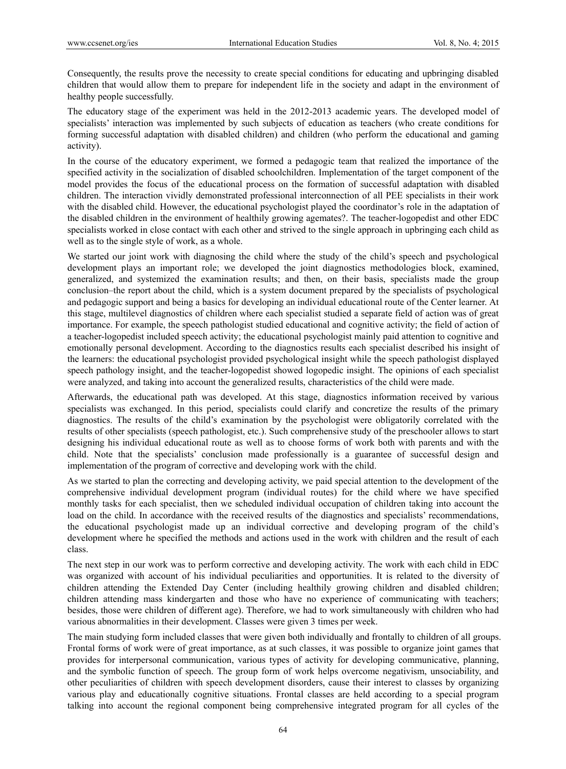Consequently, the results prove the necessity to create special conditions for educating and upbringing disabled children that would allow them to prepare for independent life in the society and adapt in the environment of healthy people successfully.

The educatory stage of the experiment was held in the 2012-2013 academic years. The developed model of specialists' interaction was implemented by such subjects of education as teachers (who create conditions for forming successful adaptation with disabled children) and children (who perform the educational and gaming activity).

In the course of the educatory experiment, we formed a pedagogic team that realized the importance of the specified activity in the socialization of disabled schoolchildren. Implementation of the target component of the model provides the focus of the educational process on the formation of successful adaptation with disabled children. The interaction vividly demonstrated professional interconnection of all PEE specialists in their work with the disabled child. However, the educational psychologist played the coordinator's role in the adaptation of the disabled children in the environment of healthily growing agemates?. The teacher-logopedist and other EDC specialists worked in close contact with each other and strived to the single approach in upbringing each child as well as to the single style of work, as a whole.

We started our joint work with diagnosing the child where the study of the child's speech and psychological development plays an important role; we developed the joint diagnostics methodologies block, examined, generalized, and systemized the examination results; and then, on their basis, specialists made the group conclusion–the report about the child, which is a system document prepared by the specialists of psychological and pedagogic support and being a basics for developing an individual educational route of the Center learner. At this stage, multilevel diagnostics of children where each specialist studied a separate field of action was of great importance. For example, the speech pathologist studied educational and cognitive activity; the field of action of a teacher-logopedist included speech activity; the educational psychologist mainly paid attention to cognitive and emotionally personal development. According to the diagnostics results each specialist described his insight of the learners: the educational psychologist provided psychological insight while the speech pathologist displayed speech pathology insight, and the teacher-logopedist showed logopedic insight. The opinions of each specialist were analyzed, and taking into account the generalized results, characteristics of the child were made.

Afterwards, the educational path was developed. At this stage, diagnostics information received by various specialists was exchanged. In this period, specialists could clarify and concretize the results of the primary diagnostics. The results of the child's examination by the psychologist were obligatorily correlated with the results of other specialists (speech pathologist, etc.). Such comprehensive study of the preschooler allows to start designing his individual educational route as well as to choose forms of work both with parents and with the child. Note that the specialists' conclusion made professionally is a guarantee of successful design and implementation of the program of corrective and developing work with the child.

As we started to plan the correcting and developing activity, we paid special attention to the development of the comprehensive individual development program (individual routes) for the child where we have specified monthly tasks for each specialist, then we scheduled individual occupation of children taking into account the load on the child. In accordance with the received results of the diagnostics and specialists' recommendations, the educational psychologist made up an individual corrective and developing program of the child's development where he specified the methods and actions used in the work with children and the result of each class.

The next step in our work was to perform corrective and developing activity. The work with each child in EDC was organized with account of his individual peculiarities and opportunities. It is related to the diversity of children attending the Extended Day Center (including healthily growing children and disabled children; children attending mass kindergarten and those who have no experience of communicating with teachers; besides, those were children of different age). Therefore, we had to work simultaneously with children who had various abnormalities in their development. Classes were given 3 times per week.

The main studying form included classes that were given both individually and frontally to children of all groups. Frontal forms of work were of great importance, as at such classes, it was possible to organize joint games that provides for interpersonal communication, various types of activity for developing communicative, planning, and the symbolic function of speech. The group form of work helps overcome negativism, unsociability, and other peculiarities of children with speech development disorders, cause their interest to classes by organizing various play and educationally cognitive situations. Frontal classes are held according to a special program talking into account the regional component being comprehensive integrated program for all cycles of the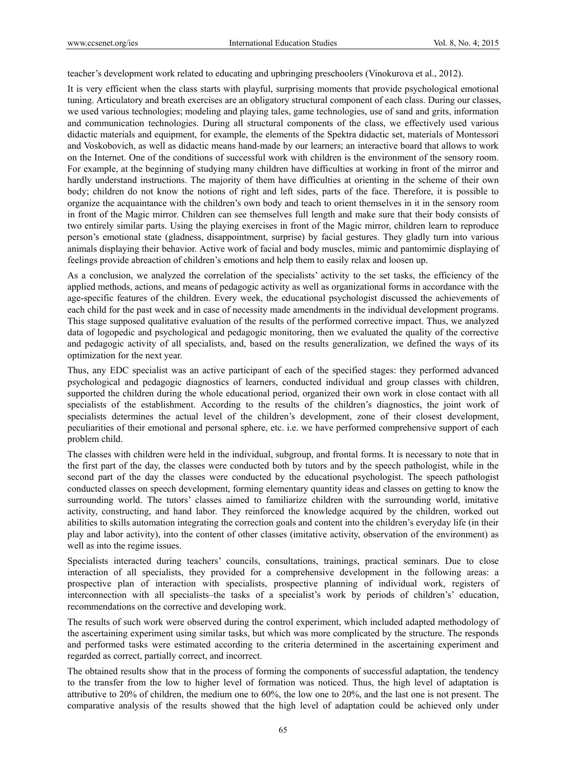teacher's development work related to educating and upbringing preschoolers (Vinokurova et al., 2012).

It is very efficient when the class starts with playful, surprising moments that provide psychological emotional tuning. Articulatory and breath exercises are an obligatory structural component of each class. During our classes, we used various technologies; modeling and playing tales, game technologies, use of sand and grits, information and communication technologies. During all structural components of the class, we effectively used various didactic materials and equipment, for example, the elements of the Spektra didactic set, materials of Montessori and Voskobovich, as well as didactic means hand-made by our learners; an interactive board that allows to work on the Internet. One of the conditions of successful work with children is the environment of the sensory room. For example, at the beginning of studying many children have difficulties at working in front of the mirror and hardly understand instructions. The majority of them have difficulties at orienting in the scheme of their own body; children do not know the notions of right and left sides, parts of the face. Therefore, it is possible to organize the acquaintance with the children's own body and teach to orient themselves in it in the sensory room in front of the Magic mirror. Children can see themselves full length and make sure that their body consists of two entirely similar parts. Using the playing exercises in front of the Magic mirror, children learn to reproduce person's emotional state (gladness, disappointment, surprise) by facial gestures. They gladly turn into various animals displaying their behavior. Active work of facial and body muscles, mimic and pantomimic displaying of feelings provide abreaction of children's emotions and help them to easily relax and loosen up.

As a conclusion, we analyzed the correlation of the specialists' activity to the set tasks, the efficiency of the applied methods, actions, and means of pedagogic activity as well as organizational forms in accordance with the age-specific features of the children. Every week, the educational psychologist discussed the achievements of each child for the past week and in case of necessity made amendments in the individual development programs. This stage supposed qualitative evaluation of the results of the performed corrective impact. Thus, we analyzed data of logopedic and psychological and pedagogic monitoring, then we evaluated the quality of the corrective and pedagogic activity of all specialists, and, based on the results generalization, we defined the ways of its optimization for the next year.

Thus, any EDC specialist was an active participant of each of the specified stages: they performed advanced psychological and pedagogic diagnostics of learners, conducted individual and group classes with children, supported the children during the whole educational period, organized their own work in close contact with all specialists of the establishment. According to the results of the children's diagnostics, the joint work of specialists determines the actual level of the children's development, zone of their closest development, peculiarities of their emotional and personal sphere, etc. i.e. we have performed comprehensive support of each problem child.

The classes with children were held in the individual, subgroup, and frontal forms. It is necessary to note that in the first part of the day, the classes were conducted both by tutors and by the speech pathologist, while in the second part of the day the classes were conducted by the educational psychologist. The speech pathologist conducted classes on speech development, forming elementary quantity ideas and classes on getting to know the surrounding world. The tutors' classes aimed to familiarize children with the surrounding world, imitative activity, constructing, and hand labor. They reinforced the knowledge acquired by the children, worked out abilities to skills automation integrating the correction goals and content into the children's everyday life (in their play and labor activity), into the content of other classes (imitative activity, observation of the environment) as well as into the regime issues.

Specialists interacted during teachers' councils, consultations, trainings, practical seminars. Due to close interaction of all specialists, they provided for a comprehensive development in the following areas: a prospective plan of interaction with specialists, prospective planning of individual work, registers of interconnection with all specialists–the tasks of a specialist's work by periods of children's' education, recommendations on the corrective and developing work.

The results of such work were observed during the control experiment, which included adapted methodology of the ascertaining experiment using similar tasks, but which was more complicated by the structure. The responds and performed tasks were estimated according to the criteria determined in the ascertaining experiment and regarded as correct, partially correct, and incorrect.

The obtained results show that in the process of forming the components of successful adaptation, the tendency to the transfer from the low to higher level of formation was noticed. Thus, the high level of adaptation is attributive to 20% of children, the medium one to 60%, the low one to 20%, and the last one is not present. The comparative analysis of the results showed that the high level of adaptation could be achieved only under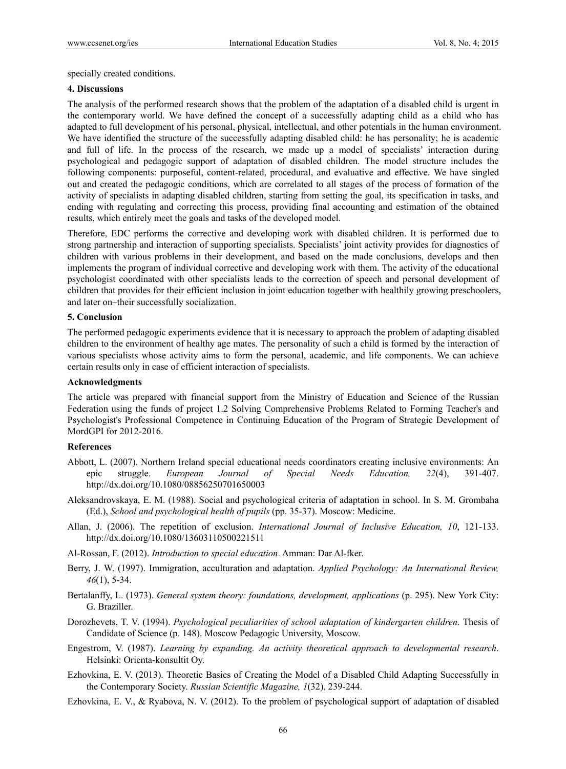specially created conditions.

## **4. Discussions**

The analysis of the performed research shows that the problem of the adaptation of a disabled child is urgent in the contemporary world. We have defined the concept of a successfully adapting child as a child who has adapted to full development of his personal, physical, intellectual, and other potentials in the human environment. We have identified the structure of the successfully adapting disabled child: he has personality; he is academic and full of life. In the process of the research, we made up a model of specialists' interaction during psychological and pedagogic support of adaptation of disabled children. The model structure includes the following components: purposeful, content-related, procedural, and evaluative and effective. We have singled out and created the pedagogic conditions, which are correlated to all stages of the process of formation of the activity of specialists in adapting disabled children, starting from setting the goal, its specification in tasks, and ending with regulating and correcting this process, providing final accounting and estimation of the obtained results, which entirely meet the goals and tasks of the developed model.

Therefore, EDC performs the corrective and developing work with disabled children. It is performed due to strong partnership and interaction of supporting specialists. Specialists' joint activity provides for diagnostics of children with various problems in their development, and based on the made conclusions, develops and then implements the program of individual corrective and developing work with them. The activity of the educational psychologist coordinated with other specialists leads to the correction of speech and personal development of children that provides for their efficient inclusion in joint education together with healthily growing preschoolers, and later on–their successfully socialization.

## **5. Conclusion**

The performed pedagogic experiments evidence that it is necessary to approach the problem of adapting disabled children to the environment of healthy age mates. The personality of such a child is formed by the interaction of various specialists whose activity aims to form the personal, academic, and life components. We can achieve certain results only in case of efficient interaction of specialists.

## **Acknowledgments**

The article was prepared with financial support from the Ministry of Education and Science of the Russian Federation using the funds of project 1.2 Solving Comprehensive Problems Related to Forming Teacher's and Psychologist's Professional Competence in Continuing Education of the Program of Strategic Development of MordGPI for 2012-2016.

## **References**

- Abbott, L. (2007). Northern Ireland special educational needs coordinators creating inclusive environments: An epic struggle. *European Journal of Special Needs Education, 22*(4), 391-407. http://dx.doi.org/10.1080/08856250701650003
- Aleksandrovskaya, E. M. (1988). Social and psychological criteria of adaptation in school. In S. M. Grombaha (Ed.), *School and psychological health of pupils* (pp. 35-37). Moscow: Medicine.
- Allan, J. (2006). The repetition of exclusion. *International Journal of Inclusive Education, 10*, 121-133. http://dx.doi.org/10.1080/13603110500221511
- Al-Rossan, F. (2012). *Introduction to special education*. Amman: Dar Al-fker.
- Berry, J. W. (1997). Immigration, acculturation and adaptation. *Applied Psychology: An International Review, 46*(1), 5-34.
- Bertalanffy, L. (1973). *General system theory: foundations, development, applications* (p. 295). New York City: G. Braziller.
- Dorozhevets, T. V. (1994). *Psychological peculiarities of school adaptation of kindergarten children*. Thesis of Candidate of Science (p. 148). Moscow Pedagogic University, Moscow.
- Engestrom, V. (1987). *Learning by expanding. An activity theoretical approach to developmental research*. Helsinki: Orienta-konsultit Oy.
- Ezhovkina, E. V. (2013). Theoretic Basics of Creating the Model of a Disabled Child Adapting Successfully in the Contemporary Society. *Russian Scientific Magazine, 1*(32), 239-244.
- Ezhovkina, E. V., & Ryabova, N. V. (2012). To the problem of psychological support of adaptation of disabled